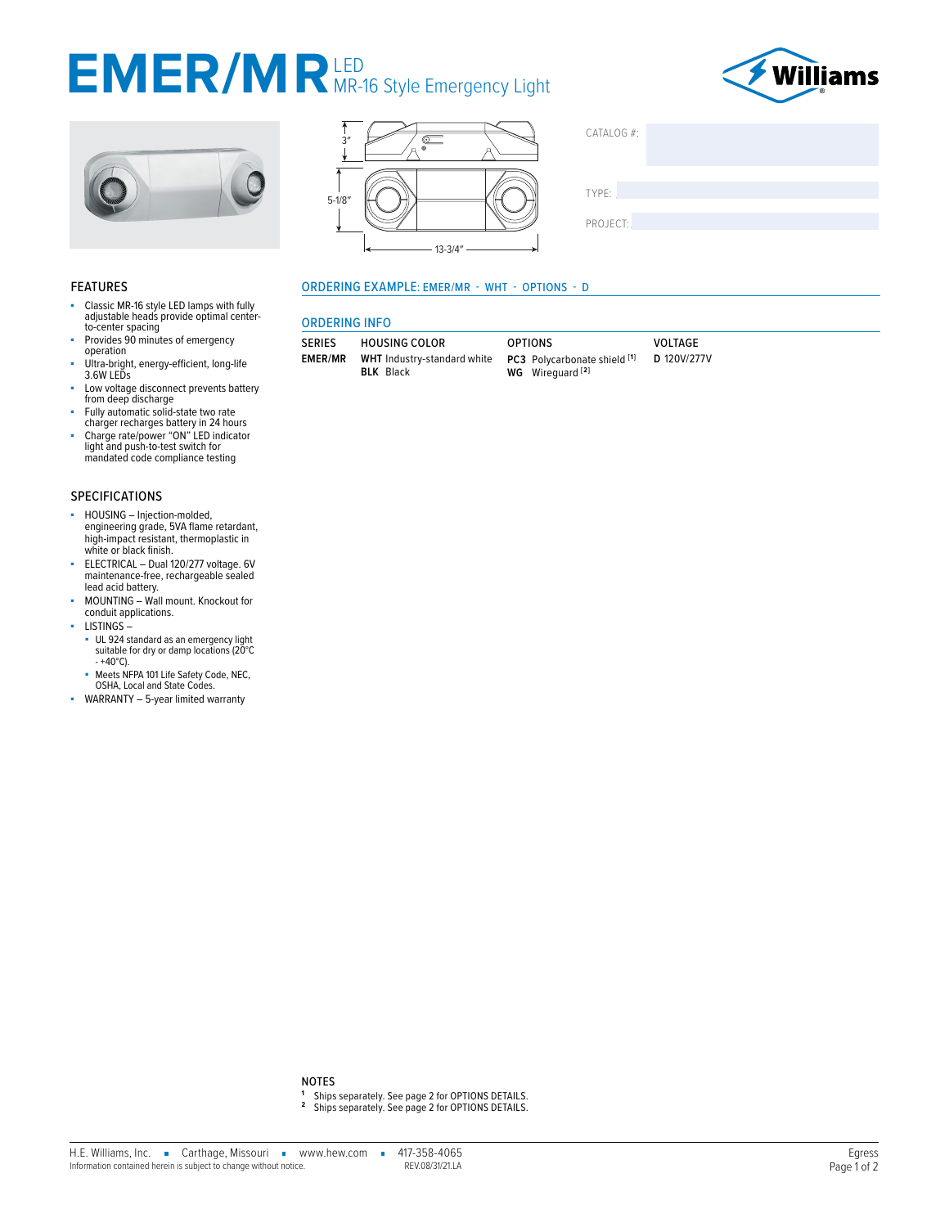# EMER/MRLED Style Emergency Light







| CATALOG #: |  |  |  |
|------------|--|--|--|
| TYPE:      |  |  |  |
| PROJECT:   |  |  |  |

## **FEATURES**

- Classic MR-16 style LED lamps with fully<br>adjustable heads provide optimal center-×. to-center spacing
- Provides 90 minutes of emergency operation
- Ultra-bright, energy-efficient, long-life<br>3.6W LEDs à.
- Low voltage disconnect prevents battery ×. from deep discharge
- ×.
- Fully automatic solid-state two rate<br>charger recharges battery in 24 hours<br>Charge rate/power "ON" LED indicator<br>light and push-to-test switch for mandated code compliance testing

# **SPECIFICATIONS**

- ä HOUSING - Injection-molded, engineering grade, 5VA flame retardant, high-impact resistant, thermoplastic in white or black finish.
- ELECTRICAL Dual 120/277 voltage. 6V maintenance-free, rechargeable sealed lead acid battery.
- MOUNTING Wall mount. Knockout for à, conduit applications.
- $-$  LISTINGS  $-$ 
	- UL 924 standard as an emergency light<br>suitable for dry or damp locations (20°C  $- +40^{\circ}$ C).
- Meets NFPA 101 Life Safety Code, NEC, OSHA, Local and State Codes.
- WARRANTY 5-year limited warranty

# **ORDERING EXAMPLE: EMER/MR - WHT - OPTIONS - D**

## **ORDERING INFO**

| <b>SERIES</b>  | <b>HOUSING COLOR</b> |                             |  |
|----------------|----------------------|-----------------------------|--|
| <b>EMER/MR</b> |                      | WHT Industry-standard white |  |
|                |                      | <b>BLK</b> Black            |  |

| <b>OPTIONS</b> |                              |  |
|----------------|------------------------------|--|
|                | PC3 Polycarbonate shield [1] |  |
|                | WG Wirequard <sup>[2]</sup>  |  |

VOLTAGE D 120V/277V

#### **NOTES**

- 
- <sup>1</sup> Ships separately. See page 2 for OPTIONS DETAILS.<br><sup>2</sup> Ships separately. See page 2 for OPTIONS DETAILS.